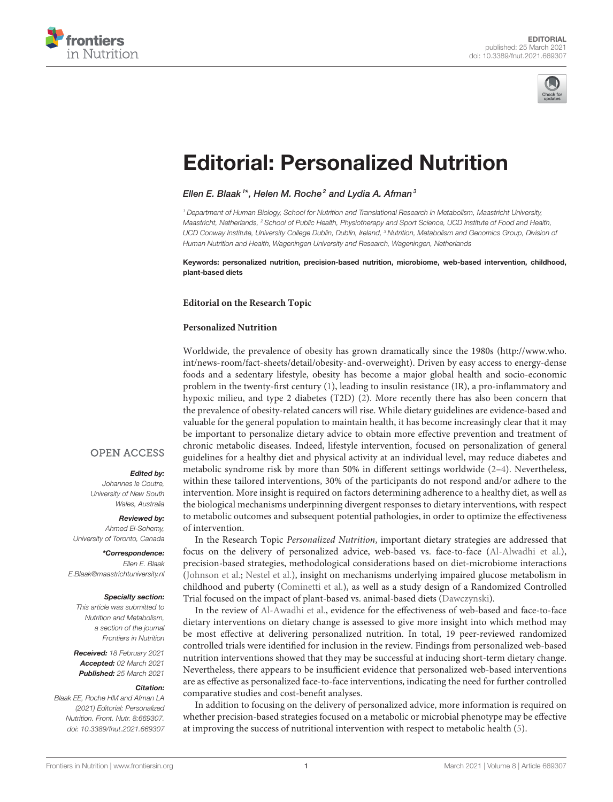



# [Editorial: Personalized Nutrition](https://www.frontiersin.org/articles/10.3389/fnut.2021.669307/full)

#### Ellen E. Blaak  $^{\imath*}$ , Helen M. Roche $^{\emph{2}}$  and Lydia A. Afman  $^{\emph{3}}$

*<sup>1</sup> Department of Human Biology, School for Nutrition and Translational Research in Metabolism, Maastricht University, Maastricht, Netherlands, <sup>2</sup> School of Public Health, Physiotherapy and Sport Science, UCD Institute of Food and Health, UCD Conway Institute, University College Dublin, Dublin, Ireland, <sup>3</sup> Nutrition, Metabolism and Genomics Group, Division of Human Nutrition and Health, Wageningen University and Research, Wageningen, Netherlands*

Keywords: personalized nutrition, precision-based nutrition, microbiome, web-based intervention, childhood, plant-based diets

#### **Editorial on the Research Topic**

#### **[Personalized Nutrition](https://www.frontiersin.org/research-topics/11160/personalized-nutrition)**

Worldwide, the prevalence of obesity has grown dramatically since the 1980s [\(http://www.who.](http://www.who.int/news-room/fact-sheets/detail/obesity-and-overweight) [int/news-room/fact-sheets/detail/obesity-and-overweight\)](http://www.who.int/news-room/fact-sheets/detail/obesity-and-overweight). Driven by easy access to energy-dense foods and a sedentary lifestyle, obesity has become a major global health and socio-economic problem in the twenty-first century [\(1\)](#page-2-0), leading to insulin resistance (IR), a pro-inflammatory and hypoxic milieu, and type 2 diabetes (T2D) [\(2\)](#page-2-1). More recently there has also been concern that the prevalence of obesity-related cancers will rise. While dietary guidelines are evidence-based and valuable for the general population to maintain health, it has become increasingly clear that it may be important to personalize dietary advice to obtain more effective prevention and treatment of chronic metabolic diseases. Indeed, lifestyle intervention, focused on personalization of general guidelines for a healthy diet and physical activity at an individual level, may reduce diabetes and metabolic syndrome risk by more than 50% in different settings worldwide [\(2–](#page-2-1)[4\)](#page-2-2). Nevertheless, within these tailored interventions, 30% of the participants do not respond and/or adhere to the intervention. More insight is required on factors determining adherence to a healthy diet, as well as the biological mechanisms underpinning divergent responses to dietary interventions, with respect to metabolic outcomes and subsequent potential pathologies, in order to optimize the effectiveness of intervention.

In the Research Topic Personalized Nutrition, important dietary strategies are addressed that focus on the delivery of personalized advice, web-based vs. face-to-face [\(Al-Alwadhi et al.\)](https://doi.org/10.3389/fnut.2020.570531), precision-based strategies, methodological considerations based on diet-microbiome interactions [\(Johnson et al.;](https://doi.org/10.3389/fnut.2020.00079) [Nestel et al.\)](https://doi.org/10.3389/fnut.2020.594850), insight on mechanisms underlying impaired glucose metabolism in childhood and puberty [\(Cominetti et al.\)](https://doi.org/10.3389/fnut.2020.00139), as well as a study design of a Randomized Controlled Trial focused on the impact of plant-based vs. animal-based diets [\(Dawczynski\)](https://doi.org/10.3389/fnut.2020.608854).

In the review of [Al-Awadhi et al.,](https://doi.org/10.3389/fnut.2020.570531) evidence for the effectiveness of web-based and face-to-face dietary interventions on dietary change is assessed to give more insight into which method may be most effective at delivering personalized nutrition. In total, 19 peer-reviewed randomized controlled trials were identified for inclusion in the review. Findings from personalized web-based nutrition interventions showed that they may be successful at inducing short-term dietary change. Nevertheless, there appears to be insufficient evidence that personalized web-based interventions are as effective as personalized face-to-face interventions, indicating the need for further controlled comparative studies and cost-benefit analyses.

In addition to focusing on the delivery of personalized advice, more information is required on whether precision-based strategies focused on a metabolic or microbial phenotype may be effective at improving the success of nutritional intervention with respect to metabolic health [\(5\)](#page-2-3).

### **OPEN ACCESS**

#### Edited by:

*Johannes le Coutre, University of New South Wales, Australia*

Reviewed by: *Ahmed El-Sohemy,*

*University of Toronto, Canada* \*Correspondence:

*Ellen E. Blaak [E.Blaak@maastrichtuniversity.nl](mailto:E.Blaak@maastrichtuniversity.nl)*

#### Specialty section:

*This article was submitted to Nutrition and Metabolism, a section of the journal Frontiers in Nutrition*

Received: *18 February 2021* Accepted: *02 March 2021* Published: *25 March 2021*

#### Citation:

*Blaak EE, Roche HM and Afman LA (2021) Editorial: Personalized Nutrition. Front. Nutr. 8:669307. doi: [10.3389/fnut.2021.669307](https://doi.org/10.3389/fnut.2021.669307)*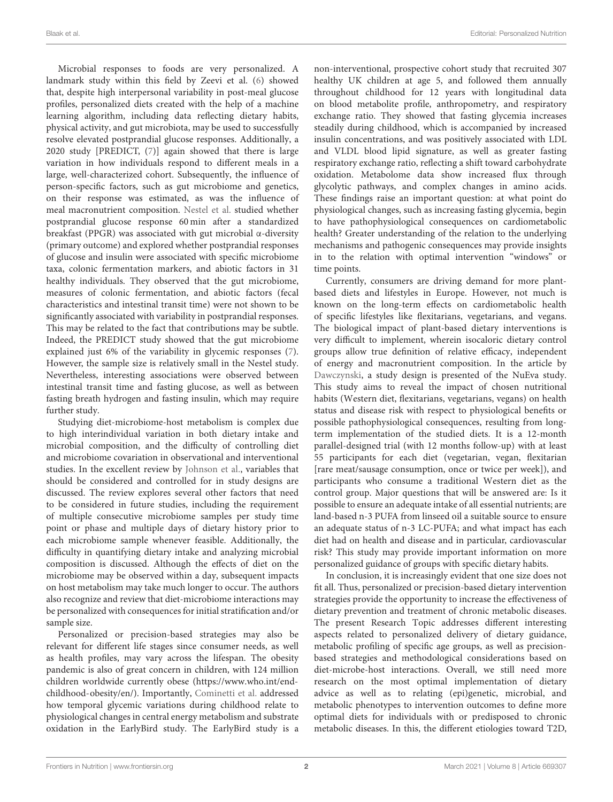Microbial responses to foods are very personalized. A landmark study within this field by Zeevi et al. [\(6\)](#page-2-4) showed that, despite high interpersonal variability in post-meal glucose profiles, personalized diets created with the help of a machine learning algorithm, including data reflecting dietary habits, physical activity, and gut microbiota, may be used to successfully resolve elevated postprandial glucose responses. Additionally, a 2020 study [PREDICT, [\(7\)](#page-2-5)] again showed that there is large variation in how individuals respond to different meals in a large, well-characterized cohort. Subsequently, the influence of person-specific factors, such as gut microbiome and genetics, on their response was estimated, as was the influence of meal macronutrient composition. [Nestel et al.](https://doi.org/10.3389/fnut.2020.594850) studied whether postprandial glucose response 60 min after a standardized breakfast (PPGR) was associated with gut microbial α-diversity (primary outcome) and explored whether postprandial responses of glucose and insulin were associated with specific microbiome taxa, colonic fermentation markers, and abiotic factors in 31 healthy individuals. They observed that the gut microbiome, measures of colonic fermentation, and abiotic factors (fecal characteristics and intestinal transit time) were not shown to be significantly associated with variability in postprandial responses. This may be related to the fact that contributions may be subtle. Indeed, the PREDICT study showed that the gut microbiome explained just 6% of the variability in glycemic responses [\(7\)](#page-2-5). However, the sample size is relatively small in the Nestel study. Nevertheless, interesting associations were observed between intestinal transit time and fasting glucose, as well as between fasting breath hydrogen and fasting insulin, which may require further study.

Studying diet-microbiome-host metabolism is complex due to high interindividual variation in both dietary intake and microbial composition, and the difficulty of controlling diet and microbiome covariation in observational and interventional studies. In the excellent review by [Johnson et al.,](https://doi.org/10.3389/fnut.2020.00079) variables that should be considered and controlled for in study designs are discussed. The review explores several other factors that need to be considered in future studies, including the requirement of multiple consecutive microbiome samples per study time point or phase and multiple days of dietary history prior to each microbiome sample whenever feasible. Additionally, the difficulty in quantifying dietary intake and analyzing microbial composition is discussed. Although the effects of diet on the microbiome may be observed within a day, subsequent impacts on host metabolism may take much longer to occur. The authors also recognize and review that diet-microbiome interactions may be personalized with consequences for initial stratification and/or sample size.

Personalized or precision-based strategies may also be relevant for different life stages since consumer needs, as well as health profiles, may vary across the lifespan. The obesity pandemic is also of great concern in children, with 124 million children worldwide currently obese [\(https://www.who.int/end](https://www.who.int/end-childhood-obesity/en/)[childhood-obesity/en/\)](https://www.who.int/end-childhood-obesity/en/). Importantly, [Cominetti et al.](https://doi.org/10.3389/fnut.2020.00139) addressed how temporal glycemic variations during childhood relate to physiological changes in central energy metabolism and substrate oxidation in the EarlyBird study. The EarlyBird study is a non-interventional, prospective cohort study that recruited 307 healthy UK children at age 5, and followed them annually throughout childhood for 12 years with longitudinal data on blood metabolite profile, anthropometry, and respiratory exchange ratio. They showed that fasting glycemia increases steadily during childhood, which is accompanied by increased insulin concentrations, and was positively associated with LDL and VLDL blood lipid signature, as well as greater fasting respiratory exchange ratio, reflecting a shift toward carbohydrate oxidation. Metabolome data show increased flux through glycolytic pathways, and complex changes in amino acids. These findings raise an important question: at what point do physiological changes, such as increasing fasting glycemia, begin to have pathophysiological consequences on cardiometabolic health? Greater understanding of the relation to the underlying mechanisms and pathogenic consequences may provide insights in to the relation with optimal intervention "windows" or time points.

Currently, consumers are driving demand for more plantbased diets and lifestyles in Europe. However, not much is known on the long-term effects on cardiometabolic health of specific lifestyles like flexitarians, vegetarians, and vegans. The biological impact of plant-based dietary interventions is very difficult to implement, wherein isocaloric dietary control groups allow true definition of relative efficacy, independent of energy and macronutrient composition. In the article by [Dawczynski,](https://doi.org/10.3389/fnut.2020.608854) a study design is presented of the NuEva study. This study aims to reveal the impact of chosen nutritional habits (Western diet, flexitarians, vegetarians, vegans) on health status and disease risk with respect to physiological benefits or possible pathophysiological consequences, resulting from longterm implementation of the studied diets. It is a 12-month parallel-designed trial (with 12 months follow-up) with at least 55 participants for each diet (vegetarian, vegan, flexitarian [rare meat/sausage consumption, once or twice per week]), and participants who consume a traditional Western diet as the control group. Major questions that will be answered are: Is it possible to ensure an adequate intake of all essential nutrients; are land-based n-3 PUFA from linseed oil a suitable source to ensure an adequate status of n-3 LC-PUFA; and what impact has each diet had on health and disease and in particular, cardiovascular risk? This study may provide important information on more personalized guidance of groups with specific dietary habits.

In conclusion, it is increasingly evident that one size does not fit all. Thus, personalized or precision-based dietary intervention strategies provide the opportunity to increase the effectiveness of dietary prevention and treatment of chronic metabolic diseases. The present Research Topic addresses different interesting aspects related to personalized delivery of dietary guidance, metabolic profiling of specific age groups, as well as precisionbased strategies and methodological considerations based on diet-microbe-host interactions. Overall, we still need more research on the most optimal implementation of dietary advice as well as to relating (epi)genetic, microbial, and metabolic phenotypes to intervention outcomes to define more optimal diets for individuals with or predisposed to chronic metabolic diseases. In this, the different etiologies toward T2D,